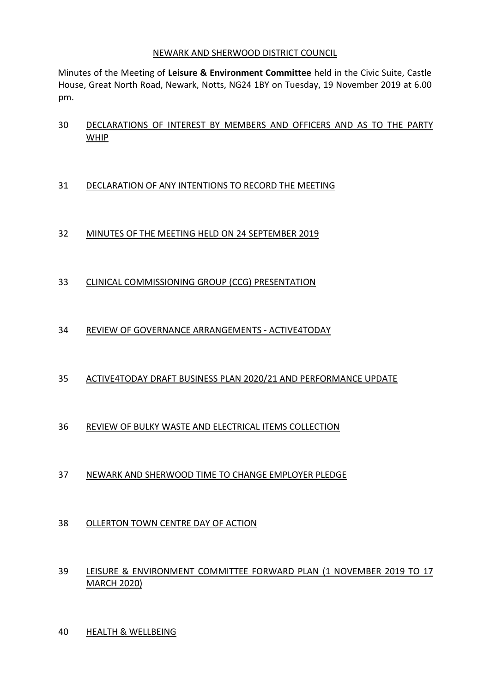#### NEWARK AND SHERWOOD DISTRICT COUNCIL

Minutes of the Meeting of **Leisure & Environment Committee** held in the Civic Suite, Castle House, Great North Road, Newark, Notts, NG24 1BY on Tuesday, 19 November 2019 at 6.00 pm.

 DECLARATIONS OF INTEREST BY MEMBERS AND OFFICERS AND AS TO THE PARTY WHIP

## DECLARATION OF ANY INTENTIONS TO RECORD THE MEETING

# MINUTES OF THE MEETING HELD ON 24 SEPTEMBER 2019

CLINICAL COMMISSIONING GROUP (CCG) PRESENTATION

## REVIEW OF GOVERNANCE ARRANGEMENTS - ACTIVE4TODAY

### ACTIVE4TODAY DRAFT BUSINESS PLAN 2020/21 AND PERFORMANCE UPDATE

### REVIEW OF BULKY WASTE AND ELECTRICAL ITEMS COLLECTION

### NEWARK AND SHERWOOD TIME TO CHANGE EMPLOYER PLEDGE

### OLLERTON TOWN CENTRE DAY OF ACTION

## LEISURE & ENVIRONMENT COMMITTEE FORWARD PLAN (1 NOVEMBER 2019 TO 17 MARCH 2020)

HEALTH & WELLBEING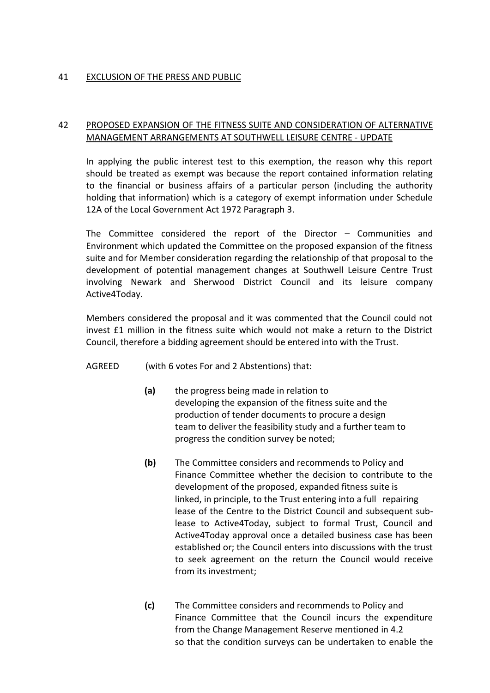### 41 EXCLUSION OF THE PRESS AND PUBLIC

### 42 PROPOSED EXPANSION OF THE FITNESS SUITE AND CONSIDERATION OF ALTERNATIVE MANAGEMENT ARRANGEMENTS AT SOUTHWELL LEISURE CENTRE - UPDATE

In applying the public interest test to this exemption, the reason why this report should be treated as exempt was because the report contained information relating to the financial or business affairs of a particular person (including the authority holding that information) which is a category of exempt information under Schedule 12A of the Local Government Act 1972 Paragraph 3.

The Committee considered the report of the Director – Communities and Environment which updated the Committee on the proposed expansion of the fitness suite and for Member consideration regarding the relationship of that proposal to the development of potential management changes at Southwell Leisure Centre Trust involving Newark and Sherwood District Council and its leisure company Active4Today.

Members considered the proposal and it was commented that the Council could not invest £1 million in the fitness suite which would not make a return to the District Council, therefore a bidding agreement should be entered into with the Trust.

- AGREED (with 6 votes For and 2 Abstentions) that:
	- **(a)** the progress being made in relation to developing the expansion of the fitness suite and the production of tender documents to procure a design team to deliver the feasibility study and a further team to progress the condition survey be noted;
	- **(b)** The Committee considers and recommends to Policy and Finance Committee whether the decision to contribute to the development of the proposed, expanded fitness suite is linked, in principle, to the Trust entering into a full repairing lease of the Centre to the District Council and subsequent sublease to Active4Today, subject to formal Trust, Council and Active4Today approval once a detailed business case has been established or; the Council enters into discussions with the trust to seek agreement on the return the Council would receive from its investment;
	- **(c)** The Committee considers and recommends to Policy and Finance Committee that the Council incurs the expenditure from the Change Management Reserve mentioned in 4.2 so that the condition surveys can be undertaken to enable the